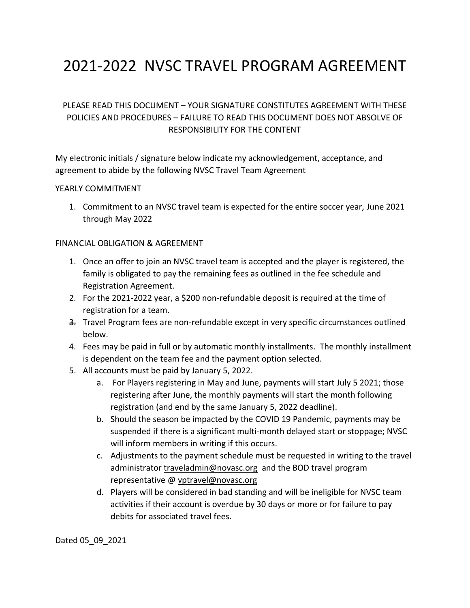# 2021-2022 NVSC TRAVEL PROGRAM AGREEMENT

# PLEASE READ THIS DOCUMENT – YOUR SIGNATURE CONSTITUTES AGREEMENT WITH THESE POLICIES AND PROCEDURES – FAILURE TO READ THIS DOCUMENT DOES NOT ABSOLVE OF RESPONSIBILITY FOR THE CONTENT

My electronic initials / signature below indicate my acknowledgement, acceptance, and agreement to abide by the following NVSC Travel Team Agreement

#### YEARLY COMMITMENT

1. Commitment to an NVSC travel team is expected for the entire soccer year, June 2021 through May 2022

#### FINANCIAL OBLIGATION & AGREEMENT

- 1. Once an offer to join an NVSC travel team is accepted and the player is registered, the family is obligated to pay the remaining fees as outlined in the fee schedule and Registration Agreement.
- 2. For the 2021-2022 year, a \$200 non-refundable deposit is required at the time of registration for a team.
- 3. Travel Program fees are non-refundable except in very specific circumstances outlined below.
- 4. Fees may be paid in full or by automatic monthly installments. The monthly installment is dependent on the team fee and the payment option selected.
- 5. All accounts must be paid by January 5, 2022.
	- a. For Players registering in May and June, payments will start July 5 2021; those registering after June, the monthly payments will start the month following registration (and end by the same January 5, 2022 deadline).
	- b. Should the season be impacted by the COVID 19 Pandemic, payments may be suspended if there is a significant multi-month delayed start or stoppage; NVSC will inform members in writing if this occurs.
	- c. Adjustments to the payment schedule must be requested in writing to the travel administrator [traveladmin@novasc.org](about:blank) and the BOD travel program representative [@ vptravel@novasc.org](about:blank)
	- d. Players will be considered in bad standing and will be ineligible for NVSC team activities if their account is overdue by 30 days or more or for failure to pay debits for associated travel fees.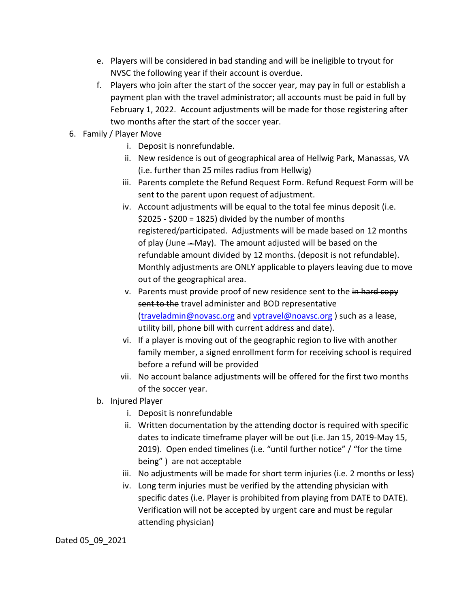- e. Players will be considered in bad standing and will be ineligible to tryout for NVSC the following year if their account is overdue.
- f. Players who join after the start of the soccer year, may pay in full or establish a payment plan with the travel administrator; all accounts must be paid in full by February 1, 2022. Account adjustments will be made for those registering after two months after the start of the soccer year.
- 6. Family / Player Move
	- i. Deposit is nonrefundable.
	- ii. New residence is out of geographical area of Hellwig Park, Manassas, VA (i.e. further than 25 miles radius from Hellwig)
	- iii. Parents complete the Refund Request Form. Refund Request Form will be sent to the parent upon request of adjustment.
	- iv. Account adjustments will be equal to the total fee minus deposit (i.e.  $$2025 - $200 = 1825]$  divided by the number of months registered/participated. Adjustments will be made based on 12 months of play (June - May). The amount adjusted will be based on the refundable amount divided by 12 months. (deposit is not refundable). Monthly adjustments are ONLY applicable to players leaving due to move out of the geographical area.
	- v. Parents must provide proof of new residence sent to the in hard copy sent to the travel administer and BOD representative [\(traveladmin@novasc.org](about:blank) an[d vptravel@noavsc.org](about:blank) ) such as a lease, utility bill, phone bill with current address and date).
	- vi. If a player is moving out of the geographic region to live with another family member, a signed enrollment form for receiving school is required before a refund will be provided
	- vii. No account balance adjustments will be offered for the first two months of the soccer year.
	- b. Injured Player
		- i. Deposit is nonrefundable
		- ii. Written documentation by the attending doctor is required with specific dates to indicate timeframe player will be out (i.e. Jan 15, 2019-May 15, 2019). Open ended timelines (i.e. "until further notice" / "for the time being" ) are not acceptable
		- iii. No adjustments will be made for short term injuries (i.e. 2 months or less)
		- iv. Long term injuries must be verified by the attending physician with specific dates (i.e. Player is prohibited from playing from DATE to DATE). Verification will not be accepted by urgent care and must be regular attending physician)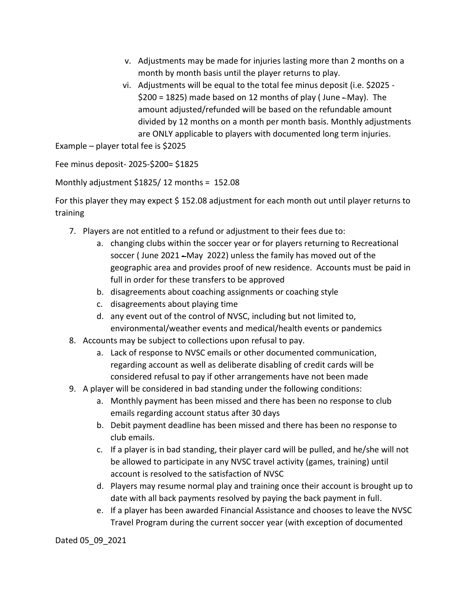- v. Adjustments may be made for injuries lasting more than 2 months on a month by month basis until the player returns to play.
- vi. Adjustments will be equal to the total fee minus deposit (i.e. \$2025  $$200 = 1825$ ) made based on 12 months of play (June  $-May$ ). The amount adjusted/refunded will be based on the refundable amount divided by 12 months on a month per month basis. Monthly adjustments are ONLY applicable to players with documented long term injuries.

Example – player total fee is \$2025

Fee minus deposit- 2025-\$200= \$1825

Monthly adjustment \$1825/ 12 months = 152.08

For this player they may expect \$ 152.08 adjustment for each month out until player returns to training

- 7. Players are not entitled to a refund or adjustment to their fees due to:
	- a. changing clubs within the soccer year or for players returning to Recreational soccer (June 2021 - May 2022) unless the family has moved out of the geographic area and provides proof of new residence. Accounts must be paid in full in order for these transfers to be approved
	- b. disagreements about coaching assignments or coaching style
	- c. disagreements about playing time
	- d. any event out of the control of NVSC, including but not limited to, environmental/weather events and medical/health events or pandemics
- 8. Accounts may be subject to collections upon refusal to pay.
	- a. Lack of response to NVSC emails or other documented communication, regarding account as well as deliberate disabling of credit cards will be considered refusal to pay if other arrangements have not been made
- 9. A player will be considered in bad standing under the following conditions:
	- a. Monthly payment has been missed and there has been no response to club emails regarding account status after 30 days
	- b. Debit payment deadline has been missed and there has been no response to club emails.
	- c. If a player is in bad standing, their player card will be pulled, and he/she will not be allowed to participate in any NVSC travel activity (games, training) until account is resolved to the satisfaction of NVSC
	- d. Players may resume normal play and training once their account is brought up to date with all back payments resolved by paying the back payment in full.
	- e. If a player has been awarded Financial Assistance and chooses to leave the NVSC Travel Program during the current soccer year (with exception of documented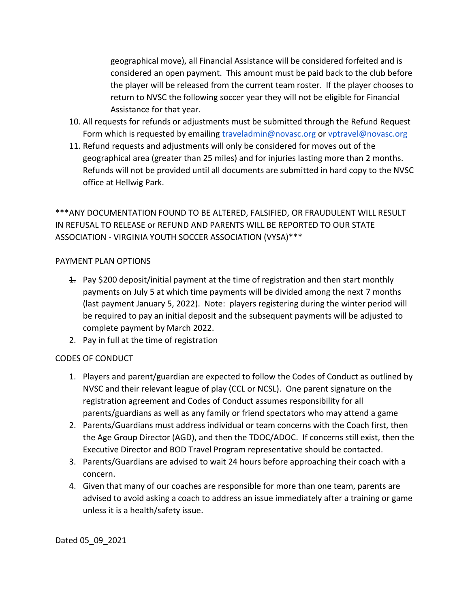geographical move), all Financial Assistance will be considered forfeited and is considered an open payment. This amount must be paid back to the club before the player will be released from the current team roster. If the player chooses to return to NVSC the following soccer year they will not be eligible for Financial Assistance for that year.

- 10. All requests for refunds or adjustments must be submitted through the Refund Request Form which is requested by emailing [traveladmin@novasc.org](about:blank) or [vptravel@novasc.org](about:blank)
- 11. Refund requests and adjustments will only be considered for moves out of the geographical area (greater than 25 miles) and for injuries lasting more than 2 months. Refunds will not be provided until all documents are submitted in hard copy to the NVSC office at Hellwig Park.

\*\*\*ANY DOCUMENTATION FOUND TO BE ALTERED, FALSIFIED, OR FRAUDULENT WILL RESULT IN REFUSAL TO RELEASE or REFUND AND PARENTS WILL BE REPORTED TO OUR STATE ASSOCIATION - VIRGINIA YOUTH SOCCER ASSOCIATION (VYSA)\*\*\*

#### PAYMENT PLAN OPTIONS

- $\pm$  Pay \$200 deposit/initial payment at the time of registration and then start monthly payments on July 5 at which time payments will be divided among the next 7 months (last payment January 5, 2022). Note: players registering during the winter period will be required to pay an initial deposit and the subsequent payments will be adjusted to complete payment by March 2022.
- 2. Pay in full at the time of registration

## CODES OF CONDUCT

- 1. Players and parent/guardian are expected to follow the Codes of Conduct as outlined by NVSC and their relevant league of play (CCL or NCSL). One parent signature on the registration agreement and Codes of Conduct assumes responsibility for all parents/guardians as well as any family or friend spectators who may attend a game
- 2. Parents/Guardians must address individual or team concerns with the Coach first, then the Age Group Director (AGD), and then the TDOC/ADOC. If concerns still exist, then the Executive Director and BOD Travel Program representative should be contacted.
- 3. Parents/Guardians are advised to wait 24 hours before approaching their coach with a concern.
- 4. Given that many of our coaches are responsible for more than one team, parents are advised to avoid asking a coach to address an issue immediately after a training or game unless it is a health/safety issue.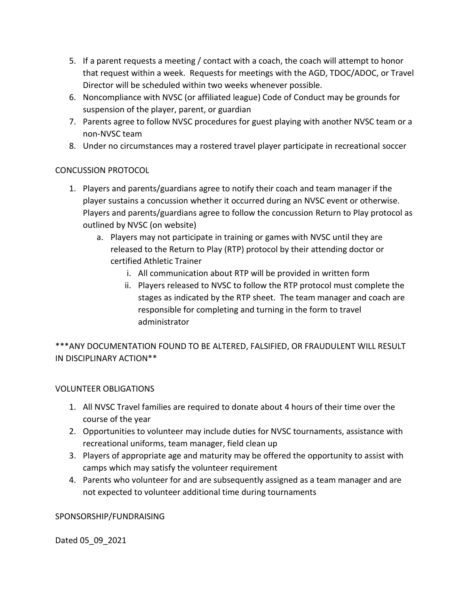- 5. If a parent requests a meeting / contact with a coach, the coach will attempt to honor that request within a week. Requests for meetings with the AGD, TDOC/ADOC, or Travel Director will be scheduled within two weeks whenever possible.
- 6. Noncompliance with NVSC (or affiliated league) Code of Conduct may be grounds for suspension of the player, parent, or guardian
- 7. Parents agree to follow NVSC procedures for guest playing with another NVSC team or a non-NVSC team
- 8. Under no circumstances may a rostered travel player participate in recreational soccer

## CONCUSSION PROTOCOL

- 1. Players and parents/guardians agree to notify their coach and team manager if the player sustains a concussion whether it occurred during an NVSC event or otherwise. Players and parents/guardians agree to follow the concussion Return to Play protocol as outlined by NVSC (on website)
	- a. Players may not participate in training or games with NVSC until they are released to the Return to Play (RTP) protocol by their attending doctor or certified Athletic Trainer
		- i. All communication about RTP will be provided in written form
		- ii. Players released to NVSC to follow the RTP protocol must complete the stages as indicated by the RTP sheet. The team manager and coach are responsible for completing and turning in the form to travel administrator

\*\*\*ANY DOCUMENTATION FOUND TO BE ALTERED, FALSIFIED, OR FRAUDULENT WILL RESULT IN DISCIPLINARY ACTION\*\*

## VOLUNTEER OBLIGATIONS

- 1. All NVSC Travel families are required to donate about 4 hours of their time over the course of the year
- 2. Opportunities to volunteer may include duties for NVSC tournaments, assistance with recreational uniforms, team manager, field clean up
- 3. Players of appropriate age and maturity may be offered the opportunity to assist with camps which may satisfy the volunteer requirement
- 4. Parents who volunteer for and are subsequently assigned as a team manager and are not expected to volunteer additional time during tournaments

#### SPONSORSHIP/FUNDRAISING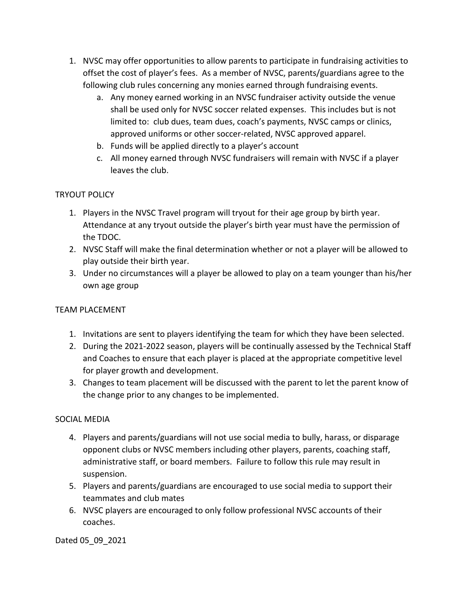- 1. NVSC may offer opportunities to allow parents to participate in fundraising activities to offset the cost of player's fees. As a member of NVSC, parents/guardians agree to the following club rules concerning any monies earned through fundraising events.
	- a. Any money earned working in an NVSC fundraiser activity outside the venue shall be used only for NVSC soccer related expenses. This includes but is not limited to: club dues, team dues, coach's payments, NVSC camps or clinics, approved uniforms or other soccer-related, NVSC approved apparel.
	- b. Funds will be applied directly to a player's account
	- c. All money earned through NVSC fundraisers will remain with NVSC if a player leaves the club.

# TRYOUT POLICY

- 1. Players in the NVSC Travel program will tryout for their age group by birth year. Attendance at any tryout outside the player's birth year must have the permission of the TDOC.
- 2. NVSC Staff will make the final determination whether or not a player will be allowed to play outside their birth year.
- 3. Under no circumstances will a player be allowed to play on a team younger than his/her own age group

## TEAM PLACEMENT

- 1. Invitations are sent to players identifying the team for which they have been selected.
- 2. During the 2021-2022 season, players will be continually assessed by the Technical Staff and Coaches to ensure that each player is placed at the appropriate competitive level for player growth and development.
- 3. Changes to team placement will be discussed with the parent to let the parent know of the change prior to any changes to be implemented.

## SOCIAL MEDIA

- 4. Players and parents/guardians will not use social media to bully, harass, or disparage opponent clubs or NVSC members including other players, parents, coaching staff, administrative staff, or board members. Failure to follow this rule may result in suspension.
- 5. Players and parents/guardians are encouraged to use social media to support their teammates and club mates
- 6. NVSC players are encouraged to only follow professional NVSC accounts of their coaches.